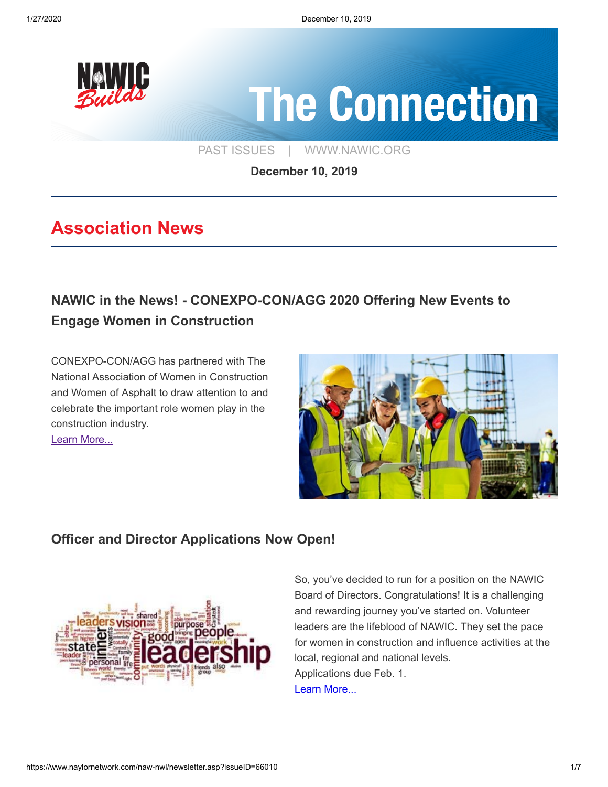

# **The Connection**

[PAST ISSUES](https://www.naylornetwork.com/naw-nwl/index.asp) | [WWW.NAWIC.ORG](https://www.nawic.org/nawic/default.asp)

**December 10, 2019**

## **Association News**

## **[NAWIC in the News! - CONEXPO-CON/AGG 2020 Offering New Events to](https://www.forconstructionpros.com/conexpo/press-release/21104135/association-of-equipment-manufacturers-conexpoconagg-2020-offering-new-events-to-engage-women-in-construction) Engage Women in Construction**

CONEXPO-CON/AGG has partnered with The National Association of Women in Construction and Women of Asphalt to draw attention to and celebrate the important role women play in the construction industry. [Learn More...](https://www.forconstructionpros.com/conexpo/press-release/21104135/association-of-equipment-manufacturers-conexpoconagg-2020-offering-new-events-to-engage-women-in-construction)



#### **[Officer and Director Applications Now Open!](https://www.naylornetwork.com/naw-nwl/pdf/2020-2021_Officer_Director_Application_FINAL.pdf)**



So, you've decided to run for a position on the NAWIC Board of Directors. Congratulations! It is a challenging and rewarding journey you've started on. Volunteer leaders are the lifeblood of NAWIC. They set the pace for women in construction and influence activities at the local, regional and national levels. Applications due Feb. 1. [Learn More...](https://www.naylornetwork.com/naw-nwl/pdf/2020-2021_Officer_Director_Application_FINAL.pdf)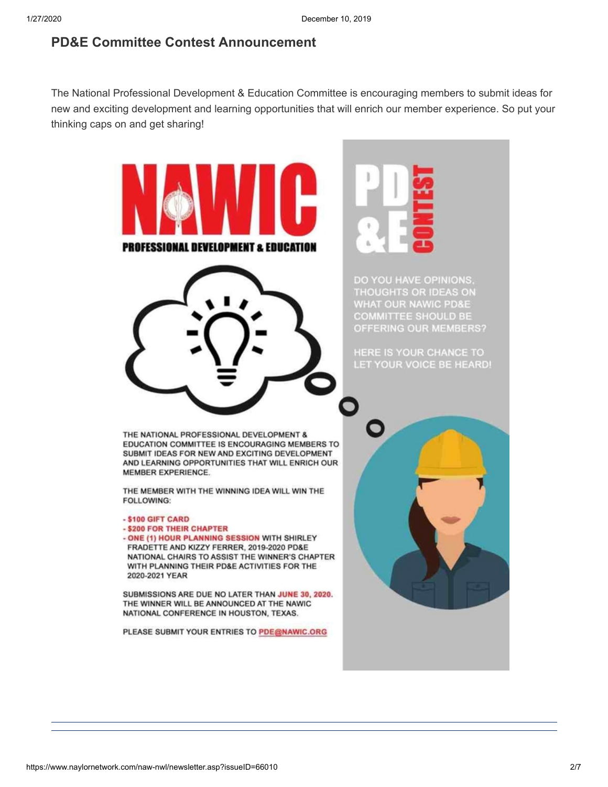#### **[PD&E Committee Contest Announcement](https://www.naylornetwork.com/naw-nwl/articles/index.asp?aid=593248&issueID=66010)**

The National Professional Development & Education Committee is encouraging members to submit ideas for new and exciting development and learning opportunities that will enrich our member experience. So put your thinking caps on and get sharing!

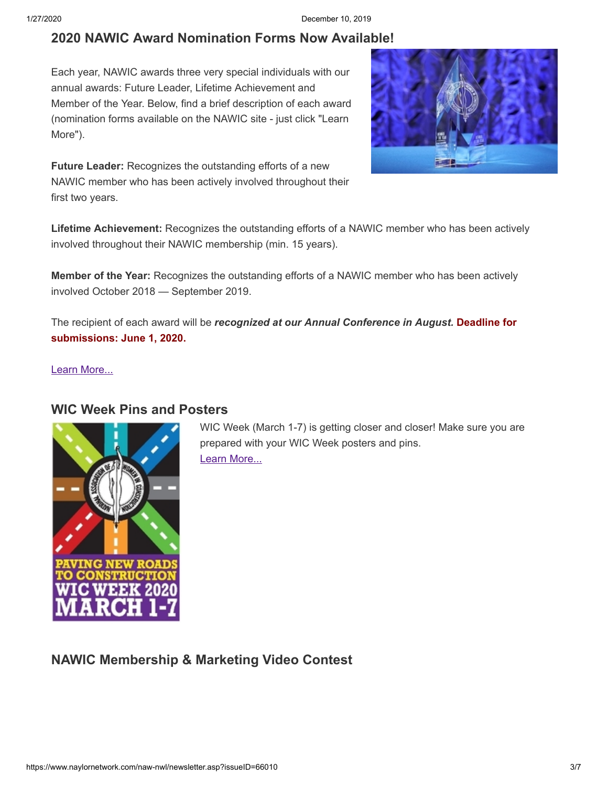#### **[2020 NAWIC Award Nomination Forms Now Available!](https://www.nawic.org/nawic/Awards.asp)**

Each year, NAWIC awards three very special individuals with our annual awards: Future Leader, Lifetime Achievement and Member of the Year. Below, find a brief description of each award (nomination forms available on the NAWIC site - just click "Learn More").



**Future Leader:** Recognizes the outstanding efforts of a new NAWIC member who has been actively involved throughout their first two years.

**Lifetime Achievement:** Recognizes the outstanding efforts of a NAWIC member who has been actively involved throughout their NAWIC membership (min. 15 years).

**Member of the Year:** Recognizes the outstanding efforts of a NAWIC member who has been actively involved October 2018 — September 2019.

The recipient of each award will be *recognized at our Annual Conference in August.* **Deadline for submissions: June 1, 2020.**

[Learn More...](https://www.nawic.org/nawic/Awards.asp)

#### **[WIC Week Pins and Posters](https://www.nawic.org/nawic/wicweek.asp)**



WIC Week (March 1-7) is getting closer and closer! Make sure you are prepared with your WIC Week posters and pins. [Learn More...](https://www.nawic.org/nawic/wicweek.asp)

**[NAWIC Membership & Marketing Video Contest](https://www.naylornetwork.com/naw-nwl/articles/index.asp?aid=593156&issueID=66010)**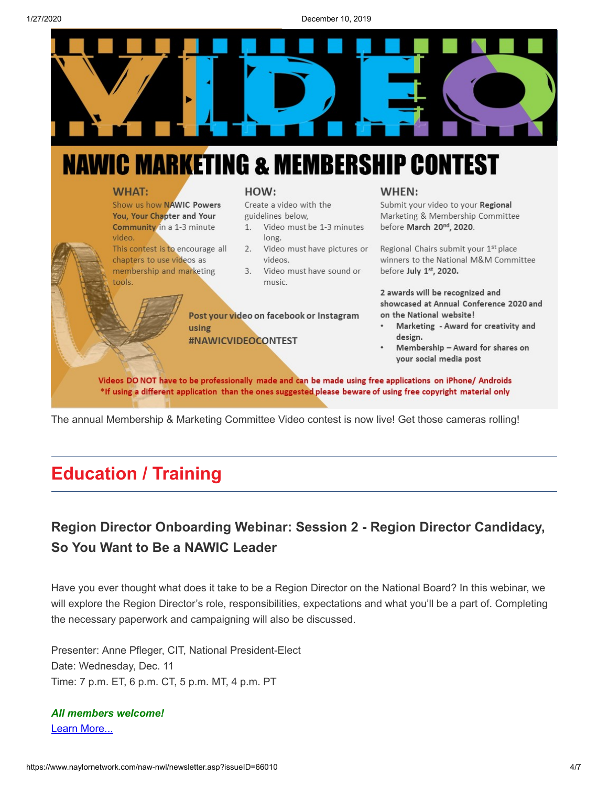

## **NAWIC MARKETING & MEMBERSHIP CONTEST**

#### **WHAT:**

Show us how NAWIC Powers You, Your Chapter and Your **Community** in a 1-3 minute video.

This contest is to encourage all chapters to use videos as membership and marketing tools.

#### HOW:

Create a video with the guidelines below,

- Video must be 1-3 minutes  $1.$ long.
- 2. Video must have pictures or videos.
- 3. Video must have sound or music.

Post your video on facebook or Instagram using #NAWICVIDEOCONTEST

#### WHEN:

Submit your video to your Regional Marketing & Membership Committee before March 20<sup>nd</sup>, 2020.

Regional Chairs submit your 1<sup>st</sup> place winners to the National M&M Committee before July 1st, 2020.

2 awards will be recognized and showcased at Annual Conference 2020 and on the National website!

- Marketing Award for creativity and design.
- Membership Award for shares on your social media post

Videos DO NOT have to be professionally made and can be made using free applications on iPhone/ Androids \*If using a different application than the ones suggested please beware of using free copyright material only

The annual Membership & Marketing Committee Video contest is now live! Get those cameras rolling!

## **Education / Training**

### **[Region Director Onboarding Webinar: Session 2 - Region Director Candidacy,](https://www.naylornetwork.com/naw-nwl/pdf/Region_Director_Onboarding_Webinar_Series_-_Dec_11_-_Final.pdf) So You Want to Be a NAWIC Leader**

Have you ever thought what does it take to be a Region Director on the National Board? In this webinar, we will explore the Region Director's role, responsibilities, expectations and what you'll be a part of. Completing the necessary paperwork and campaigning will also be discussed.

Presenter: Anne Pfleger, CIT, National President-Elect Date: Wednesday, Dec. 11 Time: 7 p.m. ET, 6 p.m. CT, 5 p.m. MT, 4 p.m. PT

#### *All members welcome!* [Learn More...](https://www.naylornetwork.com/naw-nwl/pdf/Region_Director_Onboarding_Webinar_Series_-_Dec_11_-_Final.pdf)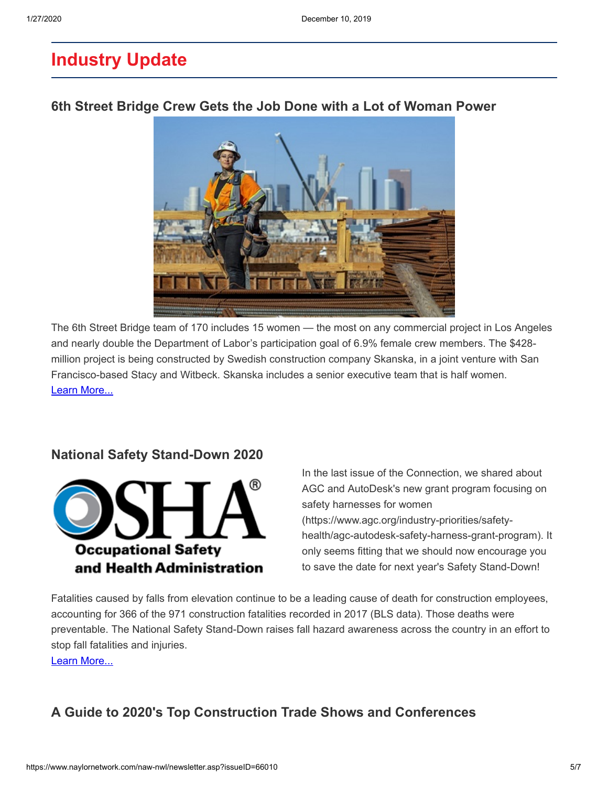## **Industry Update**

#### **[6th Street Bridge Crew Gets the Job Done with a Lot of Woman Power](https://www.latimes.com/california/story/2019-11-30/6th-street-bridge-crew-gets-the-job-done-with-a-lot-of-woman-power)**



The 6th Street Bridge team of 170 includes 15 women — the most on any commercial project in Los Angeles and nearly double the Department of Labor's participation goal of 6.9% female crew members. The \$428 million project is being constructed by Swedish construction company Skanska, in a joint venture with San Francisco-based Stacy and Witbeck. Skanska includes a senior executive team that is half women. [Learn More...](https://www.latimes.com/california/story/2019-11-30/6th-street-bridge-crew-gets-the-job-done-with-a-lot-of-woman-power)

#### **[National Safety Stand-Down 2020](https://www.osha.gov/StopFallsStandDown/)**



In the last issue of the Connection, we shared about AGC and AutoDesk's new grant program focusing on safety harnesses for women (https://www.agc.org/industry-priorities/safetyhealth/agc-autodesk-safety-harness-grant-program). It only seems fitting that we should now encourage you to save the date for next year's Safety Stand-Down!

Fatalities caused by falls from elevation continue to be a leading cause of death for construction employees, accounting for 366 of the 971 construction fatalities recorded in 2017 (BLS data). Those deaths were preventable. The National Safety Stand-Down raises fall hazard awareness across the country in an effort to stop fall fatalities and injuries.

[Learn More...](https://www.osha.gov/StopFallsStandDown/)

#### **[A Guide to 2020's Top Construction Trade Shows and Conferences](https://www.constructiondive.com/news/a-guide-to-2020s-top-construction-trade-shows-and-conferences/568123/)**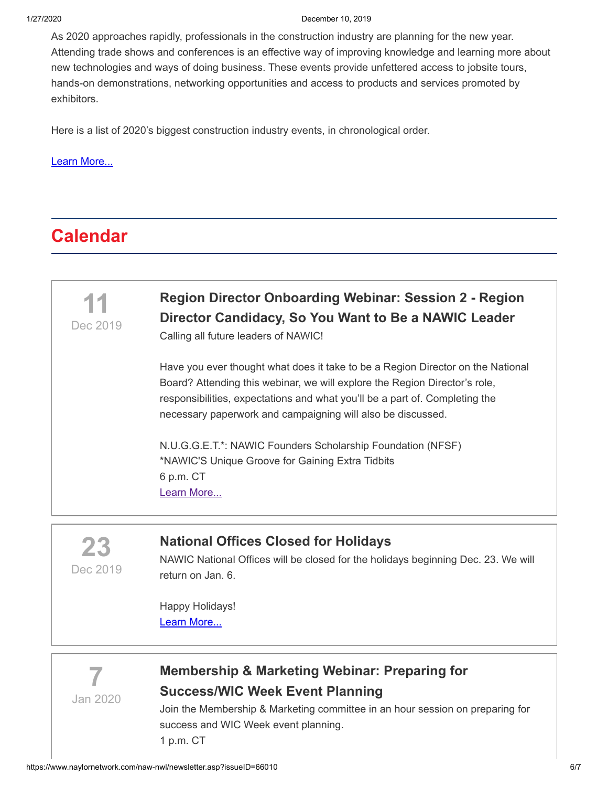1/27/2020 December 10, 2019

As 2020 approaches rapidly, professionals in the construction industry are planning for the new year. Attending trade shows and conferences is an effective way of improving knowledge and learning more about new technologies and ways of doing business. These events provide unfettered access to jobsite tours, hands-on demonstrations, networking opportunities and access to products and services promoted by exhibitors.

Here is a list of 2020's biggest construction industry events, in chronological order.

#### [Learn More...](https://www.constructiondive.com/news/a-guide-to-2020s-top-construction-trade-shows-and-conferences/568123/)

## **Calendar**



**23** Dec 2019

#### **[National Offices Closed for Holidays](https://www.naylornetwork.com/naw-nwl/articles/index.asp?aid=593162&issueID=66010)**

NAWIC National Offices will be closed for the holidays beginning Dec. 23. We will return on Jan. 6.

Happy Holidays! [Learn More...](https://www.naylornetwork.com/naw-nwl/articles/index.asp?aid=593162&issueID=66010)



## **[Membership & Marketing Webinar: Preparing for](https://www.nawic.org/nawic/Webinars.asp) Success/WIC Week Event Planning**

Join the Membership & Marketing committee in an hour session on preparing for success and WIC Week event planning. 1 p.m. CT